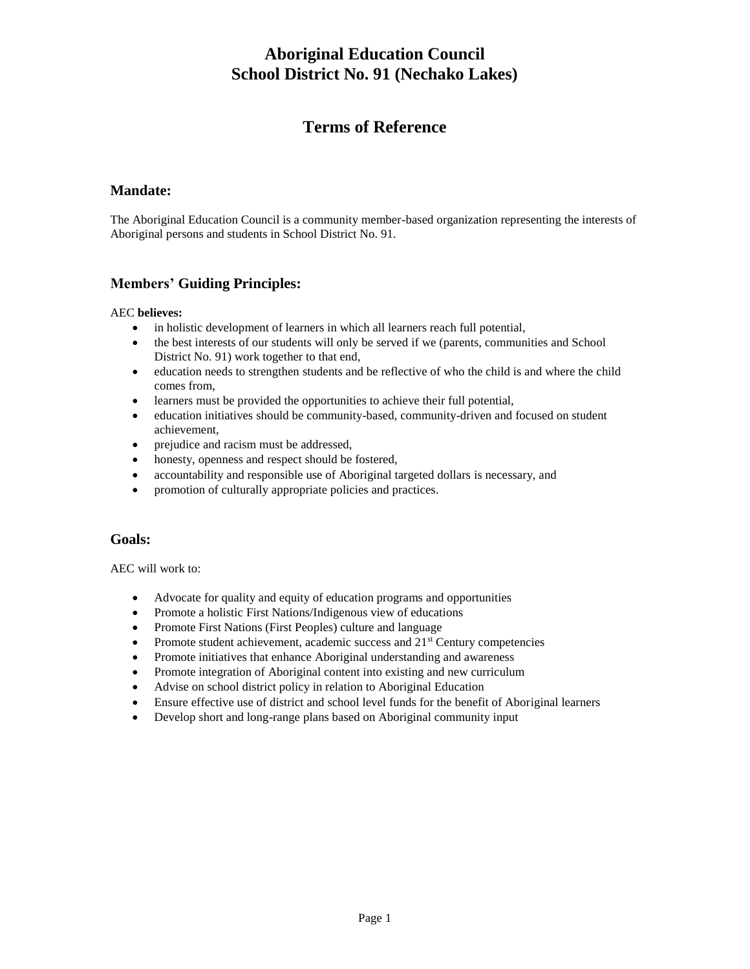# **Aboriginal Education Council School District No. 91 (Nechako Lakes)**

# **Terms of Reference**

### **Mandate:**

The Aboriginal Education Council is a community member-based organization representing the interests of Aboriginal persons and students in School District No. 91.

## **Members' Guiding Principles:**

#### AEC **believes:**

- in holistic development of learners in which all learners reach full potential,
- the best interests of our students will only be served if we (parents, communities and School District No. 91) work together to that end,
- education needs to strengthen students and be reflective of who the child is and where the child comes from,
- learners must be provided the opportunities to achieve their full potential,
- education initiatives should be community-based, community-driven and focused on student achievement,
- prejudice and racism must be addressed,
- honesty, openness and respect should be fostered,
- accountability and responsible use of Aboriginal targeted dollars is necessary, and
- promotion of culturally appropriate policies and practices.

### **Goals:**

AEC will work to:

- Advocate for quality and equity of education programs and opportunities
- Promote a holistic First Nations/Indigenous view of educations
- Promote First Nations (First Peoples) culture and language
- Promote student achievement, academic success and  $21<sup>st</sup>$  Century competencies
- Promote initiatives that enhance Aboriginal understanding and awareness
- Promote integration of Aboriginal content into existing and new curriculum
- Advise on school district policy in relation to Aboriginal Education
- Ensure effective use of district and school level funds for the benefit of Aboriginal learners
- Develop short and long-range plans based on Aboriginal community input